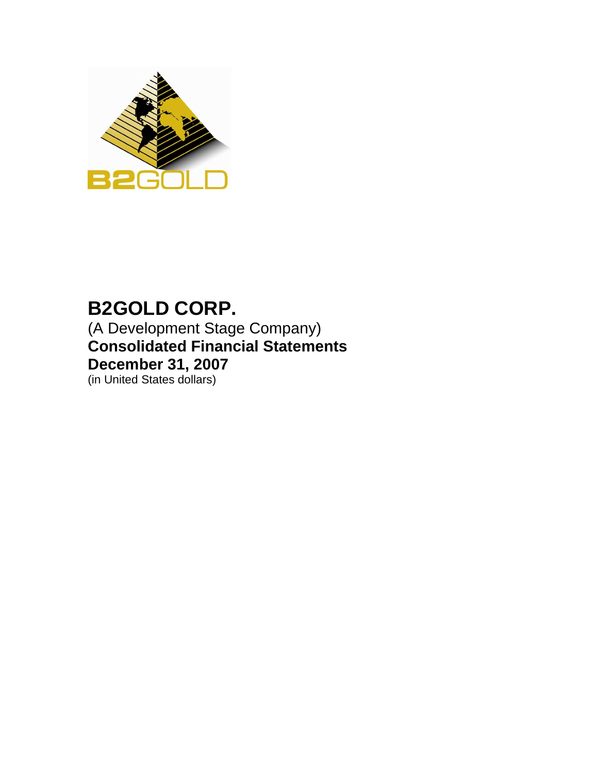

# **B2GOLD CORP.**

(A Development Stage Company) **Consolidated Financial Statements December 31, 2007**

(in United States dollars)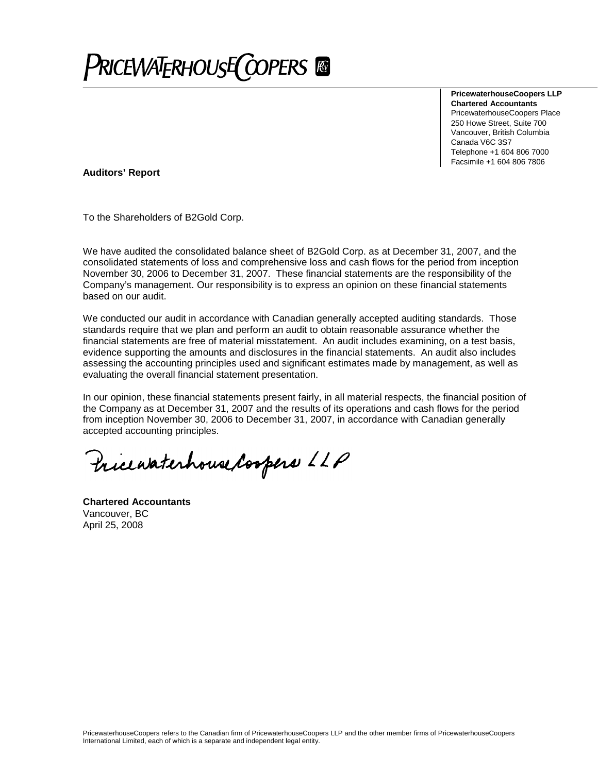**PRICEWATERHOUSE COPERS** 

**PricewaterhouseCoopers LLP Chartered Accountants** PricewaterhouseCoopers Place 250 Howe Street, Suite 700 Vancouver, British Columbia Canada V6C 3S7 Telephone +1 604 806 7000 Facsimile +1 604 806 7806

**Auditors' Report**

To the Shareholders of B2Gold Corp.

We have audited the consolidated balance sheet of B2Gold Corp. as at December 31, 2007, and the consolidated statements of loss and comprehensive loss and cash flows for the period from inception November 30, 2006 to December 31, 2007. These financial statements are the responsibility of the Company's management. Our responsibility is to express an opinion on these financial statements based on our audit.

We conducted our audit in accordance with Canadian generally accepted auditing standards. Those standards require that we plan and perform an audit to obtain reasonable assurance whether the financial statements are free of material misstatement. An audit includes examining, on a test basis, evidence supporting the amounts and disclosures in the financial statements. An audit also includes assessing the accounting principles used and significant estimates made by management, as well as evaluating the overall financial statement presentation.

In our opinion, these financial statements present fairly, in all material respects, the financial position of the Company as at December 31, 2007 and the results of its operations and cash flows for the period from inception November 30, 2006 to December 31, 2007, in accordance with Canadian generally accepted accounting principles.

Pricewaterhouse Coopers LLP

**Chartered Accountants** Vancouver, BC April 25, 2008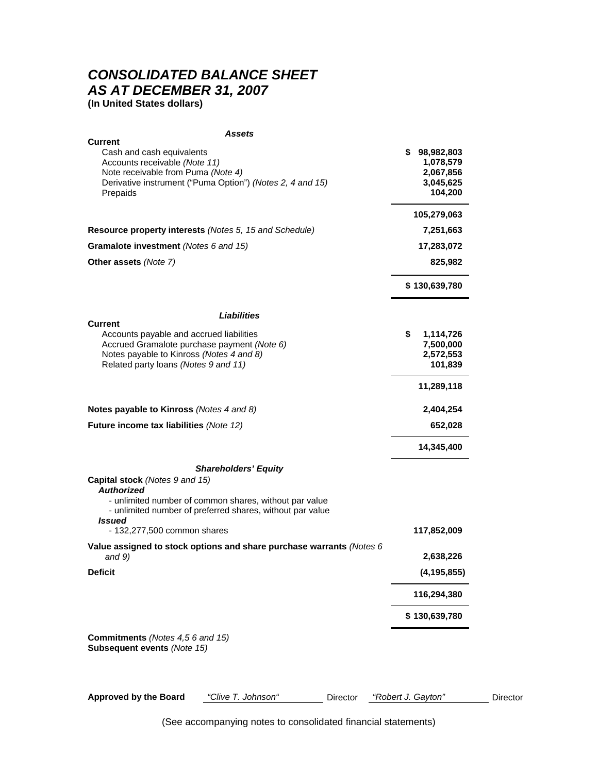## *CONSOLIDATED BALANCE SHEET AS AT DECEMBER 31, 2007*

**(In United States dollars)**

| Assets                                                                                                              |                           |
|---------------------------------------------------------------------------------------------------------------------|---------------------------|
| <b>Current</b>                                                                                                      |                           |
| Cash and cash equivalents<br>Accounts receivable (Note 11)                                                          | \$98,982,803<br>1,078,579 |
| Note receivable from Puma (Note 4)                                                                                  | 2,067,856                 |
| Derivative instrument ("Puma Option") (Notes 2, 4 and 15)                                                           | 3,045,625                 |
| Prepaids                                                                                                            | 104,200                   |
|                                                                                                                     | 105,279,063               |
| Resource property interests (Notes 5, 15 and Schedule)                                                              | 7,251,663                 |
| <b>Gramalote investment</b> (Notes 6 and 15)                                                                        | 17,283,072                |
| Other assets (Note 7)                                                                                               | 825,982                   |
|                                                                                                                     | \$130,639,780             |
| Liabilities                                                                                                         |                           |
| <b>Current</b><br>Accounts payable and accrued liabilities                                                          | \$<br>1,114,726           |
| Accrued Gramalote purchase payment (Note 6)                                                                         | 7,500,000                 |
| Notes payable to Kinross (Notes 4 and 8)                                                                            | 2,572,553                 |
| Related party loans (Notes 9 and 11)                                                                                | 101,839                   |
|                                                                                                                     | 11,289,118                |
| Notes payable to Kinross (Notes 4 and 8)                                                                            | 2,404,254                 |
| Future income tax liabilities (Note 12)                                                                             | 652,028                   |
|                                                                                                                     | 14,345,400                |
| <b>Shareholders' Equity</b>                                                                                         |                           |
| Capital stock (Notes 9 and 15)<br><b>Authorized</b>                                                                 |                           |
| - unlimited number of common shares, without par value<br>- unlimited number of preferred shares, without par value |                           |
| <b>Issued</b><br>- 132,277,500 common shares                                                                        | 117,852,009               |
| Value assigned to stock options and share purchase warrants (Notes $6$<br>and $9)$                                  | 2,638,226                 |
| <b>Deficit</b>                                                                                                      | (4, 195, 855)             |
|                                                                                                                     | 116,294,380               |
|                                                                                                                     | \$130,639,780             |
|                                                                                                                     |                           |
| <b>Commitments</b> (Notes 4,5 6 and 15)<br>Subsequent events (Note 15)                                              |                           |
|                                                                                                                     |                           |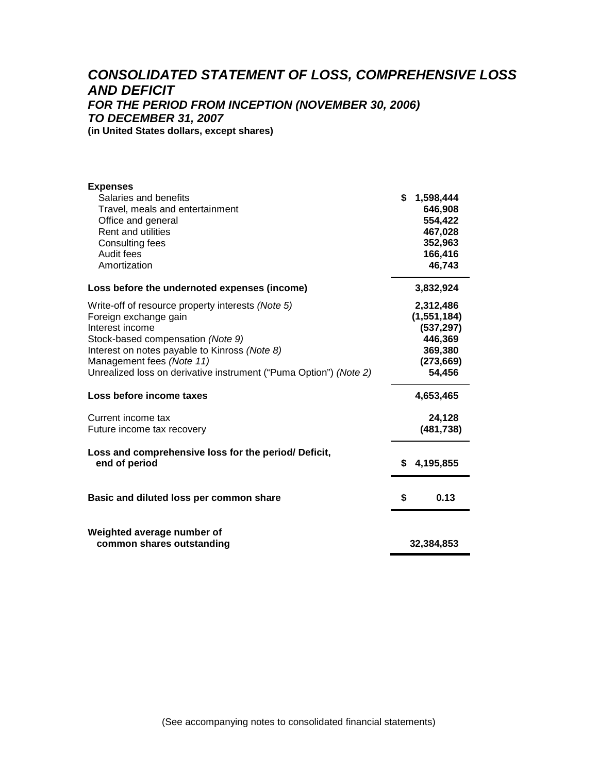## *CONSOLIDATED STATEMENT OF LOSS, COMPREHENSIVE LOSS AND DEFICIT FOR THE PERIOD FROM INCEPTION (NOVEMBER 30, 2006) TO DECEMBER 31, 2007* **(in United States dollars, except shares)**

| <b>Expenses</b><br>Salaries and benefits<br>Travel, meals and entertainment<br>Office and general<br><b>Rent and utilities</b><br>Consulting fees<br>Audit fees<br>Amortization                                                                                                                                                                                       | \$ | 1,598,444<br>646,908<br>554,422<br>467,028<br>352,963<br>166,416<br>46,743                                                  |
|-----------------------------------------------------------------------------------------------------------------------------------------------------------------------------------------------------------------------------------------------------------------------------------------------------------------------------------------------------------------------|----|-----------------------------------------------------------------------------------------------------------------------------|
| Loss before the undernoted expenses (income)                                                                                                                                                                                                                                                                                                                          |    | 3,832,924                                                                                                                   |
| Write-off of resource property interests (Note 5)<br>Foreign exchange gain<br>Interest income<br>Stock-based compensation (Note 9)<br>Interest on notes payable to Kinross (Note 8)<br>Management fees (Note 11)<br>Unrealized loss on derivative instrument ("Puma Option") (Note 2)<br>Loss before income taxes<br>Current income tax<br>Future income tax recovery |    | 2,312,486<br>(1, 551, 184)<br>(537, 297)<br>446,369<br>369,380<br>(273, 669)<br>54,456<br>4,653,465<br>24,128<br>(481, 738) |
| Loss and comprehensive loss for the period/ Deficit,<br>end of period                                                                                                                                                                                                                                                                                                 | S. | 4,195,855                                                                                                                   |
| Basic and diluted loss per common share                                                                                                                                                                                                                                                                                                                               | \$ | 0.13                                                                                                                        |
| Weighted average number of<br>common shares outstanding                                                                                                                                                                                                                                                                                                               |    | 32,384,853                                                                                                                  |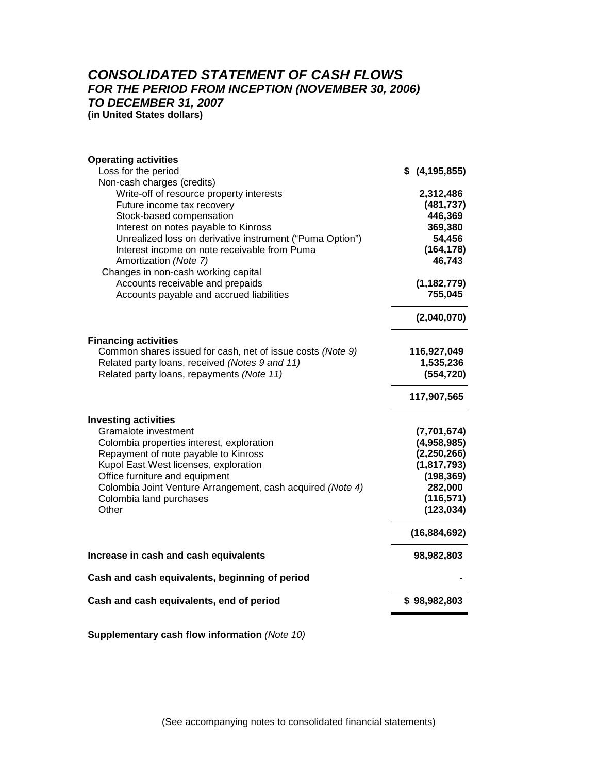#### *CONSOLIDATED STATEMENT OF CASH FLOWS FOR THE PERIOD FROM INCEPTION (NOVEMBER 30, 2006) TO DECEMBER 31, 2007* **(in United States dollars)**

**Operating activities** Loss for the period **\$ (4,195,855)** Non-cash charges (credits) Write-off of resource property interests **2,312,486** Future income tax recovery **(481,737)** Stock-based compensation **446,369** Interest on notes payable to Kinross **369,380** Unrealized loss on derivative instrument ("Puma Option") **54,456** Interest income on note receivable from Puma **(164,178)** Amortization *(Note 7)* **46,743** Changes in non-cash working capital Accounts receivable and prepaids **(1,182,779)** Accounts payable and accrued liabilities **755,045 (2,040,070) Financing activities** Common shares issued for cash, net of issue costs *(Note 9)* **116,927,049** Related party loans, received *(Notes 9 and 11)* **1,535,236** Related party loans, repayments *(Note 11)* **(554,720) 117,907,565 Investing activities** Gramalote investment **(7,701,674)** Colombia properties interest, exploration **(4,958,985)** Repayment of note payable to Kinross **(2,250,266)** Kupol East West licenses, exploration **(1,817,793)** Office furniture and equipment **(198,369)** Colombia Joint Venture Arrangement, cash acquired *(Note 4)* **282,000** Colombia land purchases **(116,571)** Other **(123,034) (123,034) (16,884,692) Increase in cash and cash equivalents 198,982,803** 100 28,982,803 **Cash and cash equivalents, beginning of period - Cash and cash equivalents, end of period \$ 98,982,803**

**Supplementary cash flow information** *(Note 10)*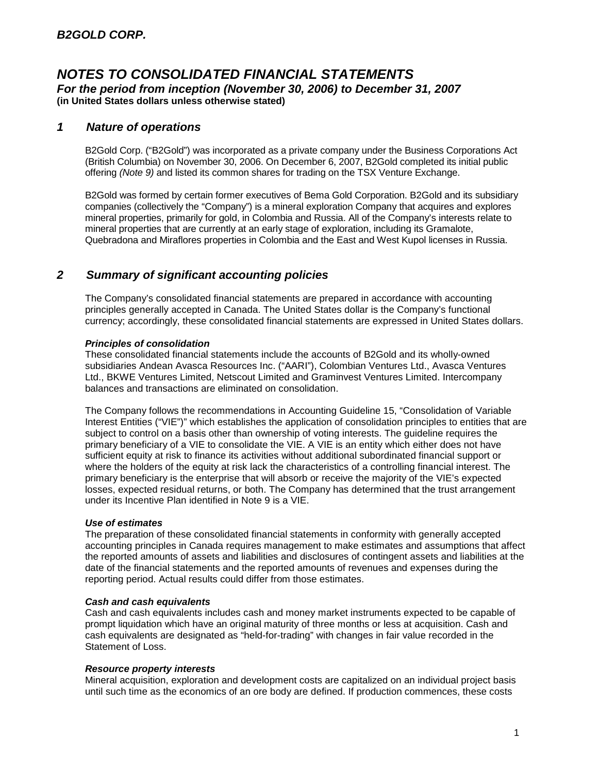#### *1 Nature of operations*

B2Gold Corp. ("B2Gold") was incorporated as a private company under the Business Corporations Act (British Columbia) on November 30, 2006. On December 6, 2007, B2Gold completed its initial public offering *(Note 9)* and listed its common shares for trading on the TSX Venture Exchange.

B2Gold was formed by certain former executives of Bema Gold Corporation. B2Gold and its subsidiary companies (collectively the "Company") is a mineral exploration Company that acquires and explores mineral properties, primarily for gold, in Colombia and Russia. All of the Company's interests relate to mineral properties that are currently at an early stage of exploration, including its Gramalote, Quebradona and Miraflores properties in Colombia and the East and West Kupol licenses in Russia.

## *2 Summary of significant accounting policies*

The Company's consolidated financial statements are prepared in accordance with accounting principles generally accepted in Canada. The United States dollar is the Company's functional currency; accordingly, these consolidated financial statements are expressed in United States dollars.

#### *Principles of consolidation*

These consolidated financial statements include the accounts of B2Gold and its wholly-owned subsidiaries Andean Avasca Resources Inc. ("AARI"), Colombian Ventures Ltd., Avasca Ventures Ltd., BKWE Ventures Limited, Netscout Limited and Graminvest Ventures Limited. Intercompany balances and transactions are eliminated on consolidation.

The Company follows the recommendations in Accounting Guideline 15, "Consolidation of Variable Interest Entities ("VIE")" which establishes the application of consolidation principles to entities that are subject to control on a basis other than ownership of voting interests. The guideline requires the primary beneficiary of a VIE to consolidate the VIE. A VIE is an entity which either does not have sufficient equity at risk to finance its activities without additional subordinated financial support or where the holders of the equity at risk lack the characteristics of a controlling financial interest. The primary beneficiary is the enterprise that will absorb or receive the majority of the VIE's expected losses, expected residual returns, or both. The Company has determined that the trust arrangement under its Incentive Plan identified in Note 9 is a VIE.

#### *Use of estimates*

The preparation of these consolidated financial statements in conformity with generally accepted accounting principles in Canada requires management to make estimates and assumptions that affect the reported amounts of assets and liabilities and disclosures of contingent assets and liabilities at the date of the financial statements and the reported amounts of revenues and expenses during the reporting period. Actual results could differ from those estimates.

#### *Cash and cash equivalents*

Cash and cash equivalents includes cash and money market instruments expected to be capable of prompt liquidation which have an original maturity of three months or less at acquisition. Cash and cash equivalents are designated as "held-for-trading" with changes in fair value recorded in the Statement of Loss.

#### *Resource property interests*

Mineral acquisition, exploration and development costs are capitalized on an individual project basis until such time as the economics of an ore body are defined. If production commences, these costs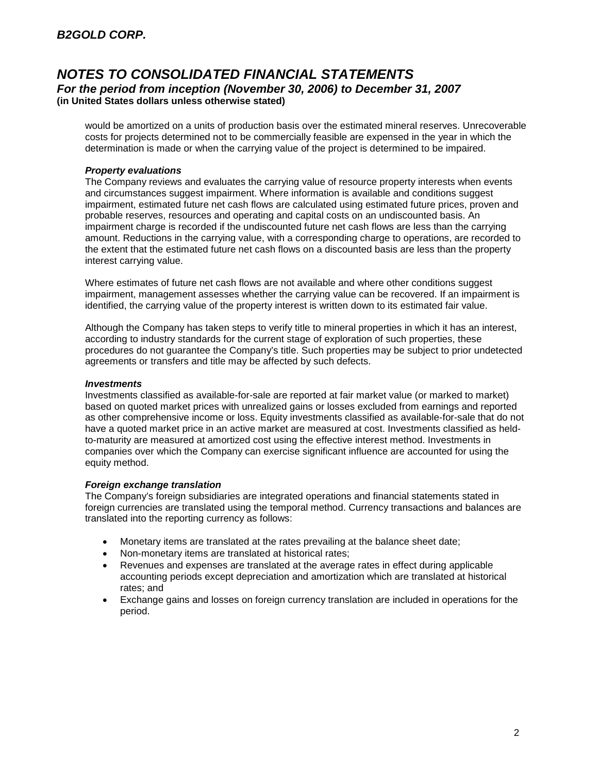would be amortized on a units of production basis over the estimated mineral reserves. Unrecoverable costs for projects determined not to be commercially feasible are expensed in the year in which the determination is made or when the carrying value of the project is determined to be impaired.

#### *Property evaluations*

The Company reviews and evaluates the carrying value of resource property interests when events and circumstances suggest impairment. Where information is available and conditions suggest impairment, estimated future net cash flows are calculated using estimated future prices, proven and probable reserves, resources and operating and capital costs on an undiscounted basis. An impairment charge is recorded if the undiscounted future net cash flows are less than the carrying amount. Reductions in the carrying value, with a corresponding charge to operations, are recorded to the extent that the estimated future net cash flows on a discounted basis are less than the property interest carrying value.

Where estimates of future net cash flows are not available and where other conditions suggest impairment, management assesses whether the carrying value can be recovered. If an impairment is identified, the carrying value of the property interest is written down to its estimated fair value.

Although the Company has taken steps to verify title to mineral properties in which it has an interest, according to industry standards for the current stage of exploration of such properties, these procedures do not guarantee the Company's title. Such properties may be subject to prior undetected agreements or transfers and title may be affected by such defects.

#### *Investments*

Investments classified as available-for-sale are reported at fair market value (or marked to market) based on quoted market prices with unrealized gains or losses excluded from earnings and reported as other comprehensive income or loss. Equity investments classified as available-for-sale that do not have a quoted market price in an active market are measured at cost. Investments classified as heldto-maturity are measured at amortized cost using the effective interest method. Investments in companies over which the Company can exercise significant influence are accounted for using the equity method.

#### *Foreign exchange translation*

The Company's foreign subsidiaries are integrated operations and financial statements stated in foreign currencies are translated using the temporal method. Currency transactions and balances are translated into the reporting currency as follows:

- Monetary items are translated at the rates prevailing at the balance sheet date;
- Non-monetary items are translated at historical rates;
- Revenues and expenses are translated at the average rates in effect during applicable accounting periods except depreciation and amortization which are translated at historical rates; and
- Exchange gains and losses on foreign currency translation are included in operations for the period.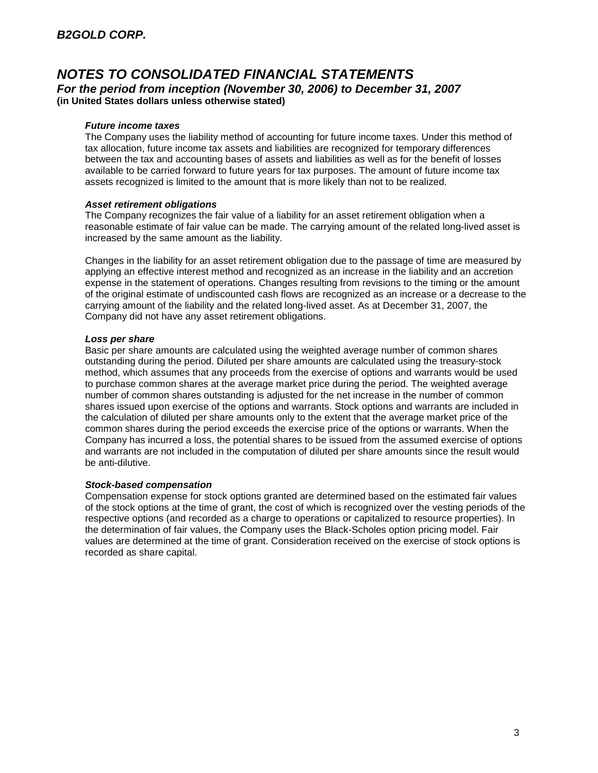#### *Future income taxes*

The Company uses the liability method of accounting for future income taxes. Under this method of tax allocation, future income tax assets and liabilities are recognized for temporary differences between the tax and accounting bases of assets and liabilities as well as for the benefit of losses available to be carried forward to future years for tax purposes. The amount of future income tax assets recognized is limited to the amount that is more likely than not to be realized.

#### *Asset retirement obligations*

The Company recognizes the fair value of a liability for an asset retirement obligation when a reasonable estimate of fair value can be made. The carrying amount of the related long-lived asset is increased by the same amount as the liability.

Changes in the liability for an asset retirement obligation due to the passage of time are measured by applying an effective interest method and recognized as an increase in the liability and an accretion expense in the statement of operations. Changes resulting from revisions to the timing or the amount of the original estimate of undiscounted cash flows are recognized as an increase or a decrease to the carrying amount of the liability and the related long-lived asset. As at December 31, 2007, the Company did not have any asset retirement obligations.

#### *Loss per share*

Basic per share amounts are calculated using the weighted average number of common shares outstanding during the period. Diluted per share amounts are calculated using the treasury-stock method, which assumes that any proceeds from the exercise of options and warrants would be used to purchase common shares at the average market price during the period. The weighted average number of common shares outstanding is adjusted for the net increase in the number of common shares issued upon exercise of the options and warrants. Stock options and warrants are included in the calculation of diluted per share amounts only to the extent that the average market price of the common shares during the period exceeds the exercise price of the options or warrants. When the Company has incurred a loss, the potential shares to be issued from the assumed exercise of options and warrants are not included in the computation of diluted per share amounts since the result would be anti-dilutive.

#### *Stock-based compensation*

Compensation expense for stock options granted are determined based on the estimated fair values of the stock options at the time of grant, the cost of which is recognized over the vesting periods of the respective options (and recorded as a charge to operations or capitalized to resource properties). In the determination of fair values, the Company uses the Black-Scholes option pricing model. Fair values are determined at the time of grant. Consideration received on the exercise of stock options is recorded as share capital.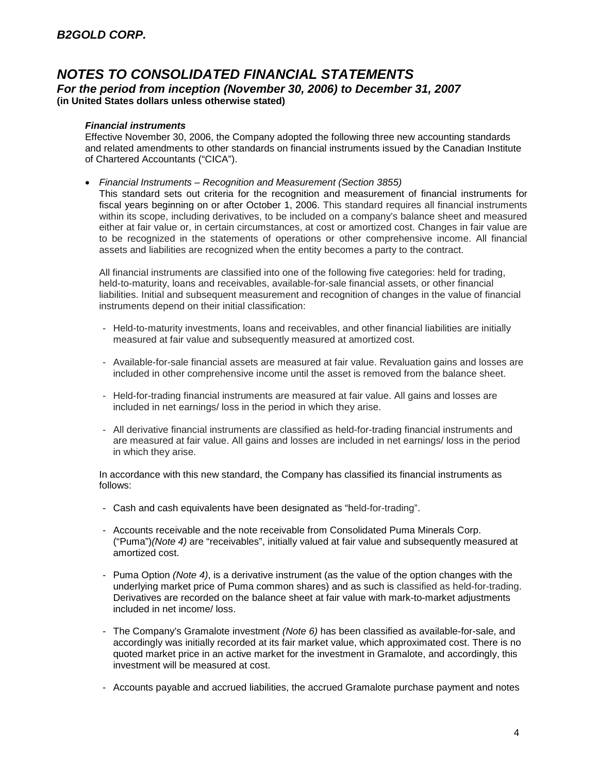#### *Financial instruments*

Effective November 30, 2006, the Company adopted the following three new accounting standards and related amendments to other standards on financial instruments issued by the Canadian Institute of Chartered Accountants ("CICA").

*Financial Instruments – Recognition and Measurement (Section 3855)*

This standard sets out criteria for the recognition and measurement of financial instruments for fiscal years beginning on or after October 1, 2006. This standard requires all financial instruments within its scope, including derivatives, to be included on a company's balance sheet and measured either at fair value or, in certain circumstances, at cost or amortized cost. Changes in fair value are to be recognized in the statements of operations or other comprehensive income. All financial assets and liabilities are recognized when the entity becomes a party to the contract.

All financial instruments are classified into one of the following five categories: held for trading, held-to-maturity, loans and receivables, available-for-sale financial assets, or other financial liabilities. Initial and subsequent measurement and recognition of changes in the value of financial instruments depend on their initial classification:

- Held-to-maturity investments, loans and receivables, and other financial liabilities are initially measured at fair value and subsequently measured at amortized cost.
- Available-for-sale financial assets are measured at fair value. Revaluation gains and losses are included in other comprehensive income until the asset is removed from the balance sheet.
- Held-for-trading financial instruments are measured at fair value. All gains and losses are included in net earnings/ loss in the period in which they arise.
- All derivative financial instruments are classified as held-for-trading financial instruments and are measured at fair value. All gains and losses are included in net earnings/ loss in the period in which they arise.

In accordance with this new standard, the Company has classified its financial instruments as follows:

- Cash and cash equivalents have been designated as "held-for-trading".
- Accounts receivable and the note receivable from Consolidated Puma Minerals Corp. ("Puma")*(Note 4)* are "receivables", initially valued at fair value and subsequently measured at amortized cost.
- Puma Option *(Note 4)*, is a derivative instrument (as the value of the option changes with the underlying market price of Puma common shares) and as such is classified as held-for-trading. Derivatives are recorded on the balance sheet at fair value with mark-to-market adjustments included in net income/ loss.
- The Company's Gramalote investment *(Note 6)* has been classified as available-for-sale, and accordingly was initially recorded at its fair market value, which approximated cost. There is no quoted market price in an active market for the investment in Gramalote, and accordingly, this investment will be measured at cost.
- Accounts payable and accrued liabilities, the accrued Gramalote purchase payment and notes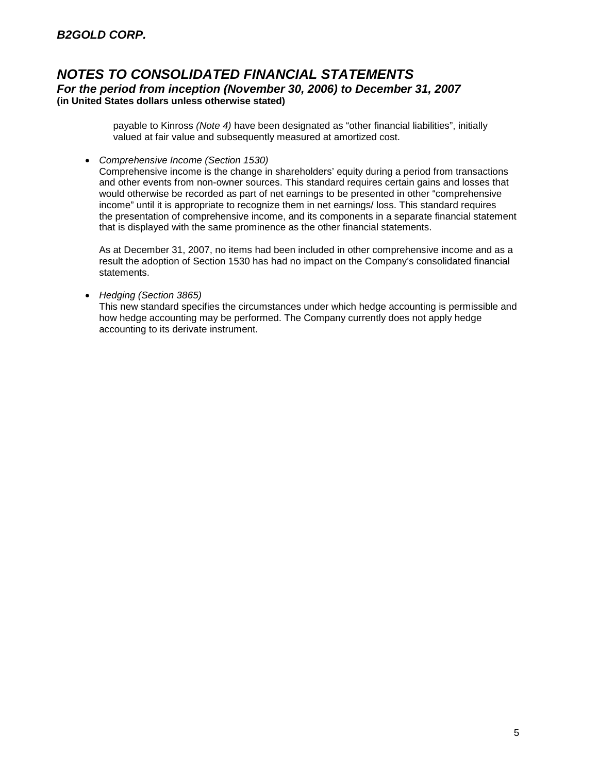payable to Kinross *(Note 4)* have been designated as "other financial liabilities", initially valued at fair value and subsequently measured at amortized cost.

*Comprehensive Income (Section 1530)*

Comprehensive income is the change in shareholders' equity during a period from transactions and other events from non-owner sources. This standard requires certain gains and losses that would otherwise be recorded as part of net earnings to be presented in other "comprehensive income" until it is appropriate to recognize them in net earnings/ loss. This standard requires the presentation of comprehensive income, and its components in a separate financial statement that is displayed with the same prominence as the other financial statements.

As at December 31, 2007, no items had been included in other comprehensive income and as a result the adoption of Section 1530 has had no impact on the Company's consolidated financial statements.

*Hedging (Section 3865)*

This new standard specifies the circumstances under which hedge accounting is permissible and how hedge accounting may be performed. The Company currently does not apply hedge accounting to its derivate instrument.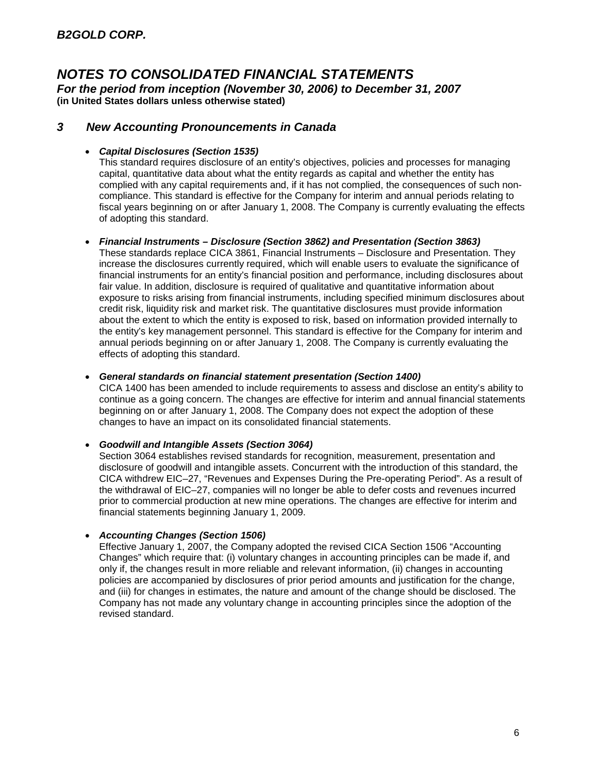*For the period from inception (November 30, 2006) to December 31, 2007* **(in United States dollars unless otherwise stated)**

#### *3 New Accounting Pronouncements in Canada*

#### *Capital Disclosures (Section 1535)*

This standard requires disclosure of an entity's objectives, policies and processes for managing capital, quantitative data about what the entity regards as capital and whether the entity has complied with any capital requirements and, if it has not complied, the consequences of such noncompliance. This standard is effective for the Company for interim and annual periods relating to fiscal years beginning on or after January 1, 2008. The Company is currently evaluating the effects of adopting this standard.

#### *Financial Instruments – Disclosure (Section 3862) and Presentation (Section 3863)*

These standards replace CICA 3861, Financial Instruments – Disclosure and Presentation. They increase the disclosures currently required, which will enable users to evaluate the significance of financial instruments for an entity's financial position and performance, including disclosures about fair value. In addition, disclosure is required of qualitative and quantitative information about exposure to risks arising from financial instruments, including specified minimum disclosures about credit risk, liquidity risk and market risk. The quantitative disclosures must provide information about the extent to which the entity is exposed to risk, based on information provided internally to the entity's key management personnel. This standard is effective for the Company for interim and annual periods beginning on or after January 1, 2008. The Company is currently evaluating the effects of adopting this standard.

#### *General standards on financial statement presentation (Section 1400)*

CICA 1400 has been amended to include requirements to assess and disclose an entity's ability to continue as a going concern. The changes are effective for interim and annual financial statements beginning on or after January 1, 2008. The Company does not expect the adoption of these changes to have an impact on its consolidated financial statements.

#### *Goodwill and Intangible Assets (Section 3064)*

Section 3064 establishes revised standards for recognition, measurement, presentation and disclosure of goodwill and intangible assets. Concurrent with the introduction of this standard, the CICA withdrew EIC–27, "Revenues and Expenses During the Pre-operating Period". As a result of the withdrawal of EIC–27, companies will no longer be able to defer costs and revenues incurred prior to commercial production at new mine operations. The changes are effective for interim and financial statements beginning January 1, 2009.

#### *Accounting Changes (Section 1506)*

Effective January 1, 2007, the Company adopted the revised CICA Section 1506 "Accounting Changes" which require that: (i) voluntary changes in accounting principles can be made if, and only if, the changes result in more reliable and relevant information, (ii) changes in accounting policies are accompanied by disclosures of prior period amounts and justification for the change, and (iii) for changes in estimates, the nature and amount of the change should be disclosed. The Company has not made any voluntary change in accounting principles since the adoption of the revised standard.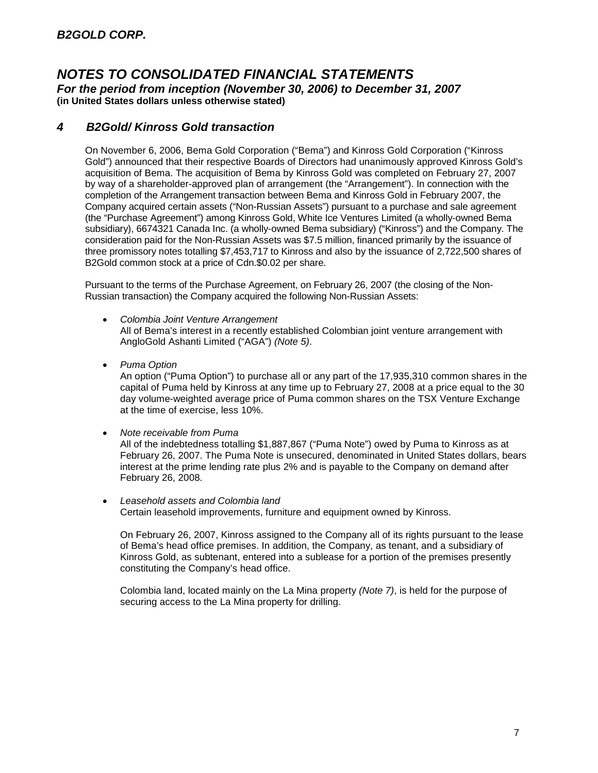*For the period from inception (November 30, 2006) to December 31, 2007* **(in United States dollars unless otherwise stated)**

## *4 B2Gold/ Kinross Gold transaction*

On November 6, 2006, Bema Gold Corporation ("Bema") and Kinross Gold Corporation ("Kinross Gold") announced that their respective Boards of Directors had unanimously approved Kinross Gold's acquisition of Bema. The acquisition of Bema by Kinross Gold was completed on February 27, 2007 by way of a shareholder-approved plan of arrangement (the "Arrangement"). In connection with the completion of the Arrangement transaction between Bema and Kinross Gold in February 2007, the Company acquired certain assets ("Non-Russian Assets") pursuant to a purchase and sale agreement (the "Purchase Agreement") among Kinross Gold, White Ice Ventures Limited (a wholly-owned Bema subsidiary), 6674321 Canada Inc. (a wholly-owned Bema subsidiary) ("Kinross") and the Company. The consideration paid for the Non-Russian Assets was \$7.5 million, financed primarily by the issuance of three promissory notes totalling \$7,453,717 to Kinross and also by the issuance of 2,722,500 shares of B2Gold common stock at a price of Cdn.\$0.02 per share.

Pursuant to the terms of the Purchase Agreement, on February 26, 2007 (the closing of the Non-Russian transaction) the Company acquired the following Non-Russian Assets:

- *Colombia Joint Venture Arrangement* All of Bema's interest in a recently established Colombian joint venture arrangement with AngloGold Ashanti Limited ("AGA") *(Note 5)*.
- *Puma Option*

An option ("Puma Option") to purchase all or any part of the 17,935,310 common shares in the capital of Puma held by Kinross at any time up to February 27, 2008 at a price equal to the 30 day volume-weighted average price of Puma common shares on the TSX Venture Exchange at the time of exercise, less 10%.

*Note receivable from Puma*

All of the indebtedness totalling \$1,887,867 ("Puma Note") owed by Puma to Kinross as at February 26, 2007. The Puma Note is unsecured, denominated in United States dollars, bears interest at the prime lending rate plus 2% and is payable to the Company on demand after February 26, 2008.

 *Leasehold assets and Colombia land* Certain leasehold improvements, furniture and equipment owned by Kinross.

On February 26, 2007, Kinross assigned to the Company all of its rights pursuant to the lease of Bema's head office premises. In addition, the Company, as tenant, and a subsidiary of Kinross Gold, as subtenant, entered into a sublease for a portion of the premises presently constituting the Company's head office.

Colombia land, located mainly on the La Mina property *(Note 7)*, is held for the purpose of securing access to the La Mina property for drilling.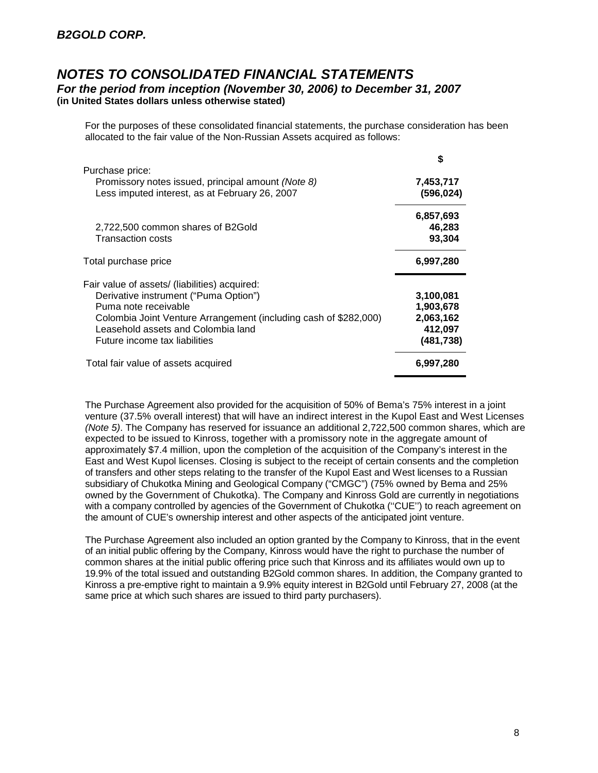For the purposes of these consolidated financial statements, the purchase consideration has been allocated to the fair value of the Non-Russian Assets acquired as follows:

|                                                                                                                                                                                                                                                           | S                                                            |
|-----------------------------------------------------------------------------------------------------------------------------------------------------------------------------------------------------------------------------------------------------------|--------------------------------------------------------------|
| Purchase price:<br>Promissory notes issued, principal amount (Note 8)<br>Less imputed interest, as at February 26, 2007                                                                                                                                   | 7,453,717<br>(596, 024)                                      |
| 2,722,500 common shares of B2Gold<br>Transaction costs                                                                                                                                                                                                    | 6,857,693<br>46,283<br>93,304                                |
| Total purchase price                                                                                                                                                                                                                                      | 6,997,280                                                    |
| Fair value of assets/ (liabilities) acquired:<br>Derivative instrument ("Puma Option")<br>Puma note receivable<br>Colombia Joint Venture Arrangement (including cash of \$282,000)<br>Leasehold assets and Colombia land<br>Future income tax liabilities | 3,100,081<br>1,903,678<br>2,063,162<br>412,097<br>(481, 738) |
| Total fair value of assets acquired                                                                                                                                                                                                                       | 6,997,280                                                    |

The Purchase Agreement also provided for the acquisition of 50% of Bema's 75% interest in a joint venture (37.5% overall interest) that will have an indirect interest in the Kupol East and West Licenses *(Note 5)*. The Company has reserved for issuance an additional 2,722,500 common shares, which are expected to be issued to Kinross, together with a promissory note in the aggregate amount of approximately \$7.4 million, upon the completion of the acquisition of the Company's interest in the East and West Kupol licenses. Closing is subject to the receipt of certain consents and the completion of transfers and other steps relating to the transfer of the Kupol East and West licenses to a Russian subsidiary of Chukotka Mining and Geological Company ("CMGC") (75% owned by Bema and 25% owned by the Government of Chukotka). The Company and Kinross Gold are currently in negotiations with a company controlled by agencies of the Government of Chukotka ("CUE") to reach agreement on the amount of CUE's ownership interest and other aspects of the anticipated joint venture.

The Purchase Agreement also included an option granted by the Company to Kinross, that in the event of an initial public offering by the Company, Kinross would have the right to purchase the number of common shares at the initial public offering price such that Kinross and its affiliates would own up to 19.9% of the total issued and outstanding B2Gold common shares. In addition, the Company granted to Kinross a pre-emptive right to maintain a 9.9% equity interest in B2Gold until February 27, 2008 (at the same price at which such shares are issued to third party purchasers).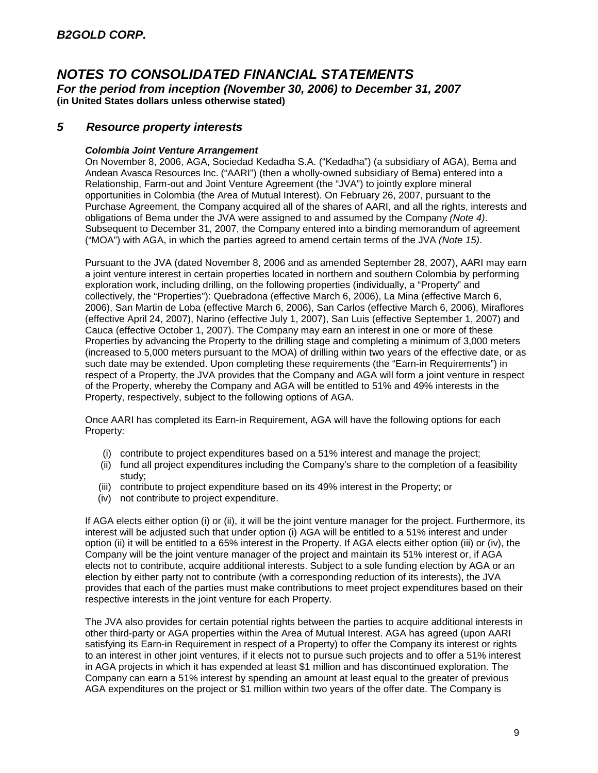*For the period from inception (November 30, 2006) to December 31, 2007* **(in United States dollars unless otherwise stated)**

### *5 Resource property interests*

#### *Colombia Joint Venture Arrangement*

On November 8, 2006, AGA, Sociedad Kedadha S.A. ("Kedadha") (a subsidiary of AGA), Bema and Andean Avasca Resources Inc. ("AARI") (then a wholly-owned subsidiary of Bema) entered into a Relationship, Farm-out and Joint Venture Agreement (the "JVA") to jointly explore mineral opportunities in Colombia (the Area of Mutual Interest). On February 26, 2007, pursuant to the Purchase Agreement, the Company acquired all of the shares of AARI, and all the rights, interests and obligations of Bema under the JVA were assigned to and assumed by the Company *(Note 4)*. Subsequent to December 31, 2007, the Company entered into a binding memorandum of agreement ("MOA") with AGA, in which the parties agreed to amend certain terms of the JVA *(Note 15)*.

Pursuant to the JVA (dated November 8, 2006 and as amended September 28, 2007), AARI may earn a joint venture interest in certain properties located in northern and southern Colombia by performing exploration work, including drilling, on the following properties (individually, a "Property" and collectively, the "Properties"): Quebradona (effective March 6, 2006), La Mina (effective March 6, 2006), San Martin de Loba (effective March 6, 2006), San Carlos (effective March 6, 2006), Miraflores (effective April 24, 2007), Narino (effective July 1, 2007), San Luis (effective September 1, 2007) and Cauca (effective October 1, 2007). The Company may earn an interest in one or more of these Properties by advancing the Property to the drilling stage and completing a minimum of 3,000 meters (increased to 5,000 meters pursuant to the MOA) of drilling within two years of the effective date, or as such date may be extended. Upon completing these requirements (the "Earn-in Requirements") in respect of a Property, the JVA provides that the Company and AGA will form a joint venture in respect of the Property, whereby the Company and AGA will be entitled to 51% and 49% interests in the Property, respectively, subject to the following options of AGA.

Once AARI has completed its Earn-in Requirement, AGA will have the following options for each Property:

- (i) contribute to project expenditures based on a 51% interest and manage the project;
- (ii) fund all project expenditures including the Company's share to the completion of a feasibility study;
- (iii) contribute to project expenditure based on its 49% interest in the Property; or
- (iv) not contribute to project expenditure.

If AGA elects either option (i) or (ii), it will be the joint venture manager for the project. Furthermore, its interest will be adjusted such that under option (i) AGA will be entitled to a 51% interest and under option (ii) it will be entitled to a 65% interest in the Property. If AGA elects either option (iii) or (iv), the Company will be the joint venture manager of the project and maintain its 51% interest or, if AGA elects not to contribute, acquire additional interests. Subject to a sole funding election by AGA or an election by either party not to contribute (with a corresponding reduction of its interests), the JVA provides that each of the parties must make contributions to meet project expenditures based on their respective interests in the joint venture for each Property.

The JVA also provides for certain potential rights between the parties to acquire additional interests in other third-party or AGA properties within the Area of Mutual Interest. AGA has agreed (upon AARI satisfying its Earn-in Requirement in respect of a Property) to offer the Company its interest or rights to an interest in other joint ventures, if it elects not to pursue such projects and to offer a 51% interest in AGA projects in which it has expended at least \$1 million and has discontinued exploration. The Company can earn a 51% interest by spending an amount at least equal to the greater of previous AGA expenditures on the project or \$1 million within two years of the offer date. The Company is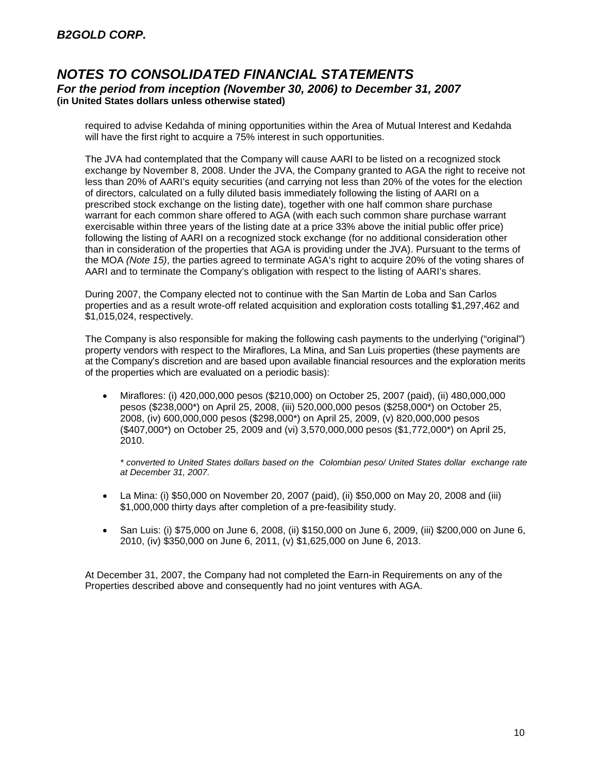required to advise Kedahda of mining opportunities within the Area of Mutual Interest and Kedahda will have the first right to acquire a 75% interest in such opportunities.

The JVA had contemplated that the Company will cause AARI to be listed on a recognized stock exchange by November 8, 2008. Under the JVA, the Company granted to AGA the right to receive not less than 20% of AARI's equity securities (and carrying not less than 20% of the votes for the election of directors, calculated on a fully diluted basis immediately following the listing of AARI on a prescribed stock exchange on the listing date), together with one half common share purchase warrant for each common share offered to AGA (with each such common share purchase warrant exercisable within three years of the listing date at a price 33% above the initial public offer price) following the listing of AARI on a recognized stock exchange (for no additional consideration other than in consideration of the properties that AGA is providing under the JVA). Pursuant to the terms of the MOA *(Note 15)*, the parties agreed to terminate AGA's right to acquire 20% of the voting shares of AARI and to terminate the Company's obligation with respect to the listing of AARI's shares.

During 2007, the Company elected not to continue with the San Martin de Loba and San Carlos properties and as a result wrote-off related acquisition and exploration costs totalling \$1,297,462 and \$1,015,024, respectively.

The Company is also responsible for making the following cash payments to the underlying ("original") property vendors with respect to the Miraflores, La Mina, and San Luis properties (these payments are at the Company's discretion and are based upon available financial resources and the exploration merits of the properties which are evaluated on a periodic basis):

 Miraflores: (i) 420,000,000 pesos (\$210,000) on October 25, 2007 (paid), (ii) 480,000,000 pesos (\$238,000\*) on April 25, 2008, (iii) 520,000,000 pesos (\$258,000\*) on October 25, 2008, (iv) 600,000,000 pesos (\$298,000\*) on April 25, 2009, (v) 820,000,000 pesos (\$407,000\*) on October 25, 2009 and (vi) 3,570,000,000 pesos (\$1,772,000\*) on April 25, 2010.

*\* converted to United States dollars based on the Colombian peso/ United States dollar exchange rate at December 31, 2007.*

- La Mina: (i) \$50,000 on November 20, 2007 (paid), (ii) \$50,000 on May 20, 2008 and (iii) \$1,000,000 thirty days after completion of a pre-feasibility study.
- San Luis: (i) \$75,000 on June 6, 2008, (ii) \$150,000 on June 6, 2009, (iii) \$200,000 on June 6, 2010, (iv) \$350,000 on June 6, 2011, (v) \$1,625,000 on June 6, 2013.

At December 31, 2007, the Company had not completed the Earn-in Requirements on any of the Properties described above and consequently had no joint ventures with AGA.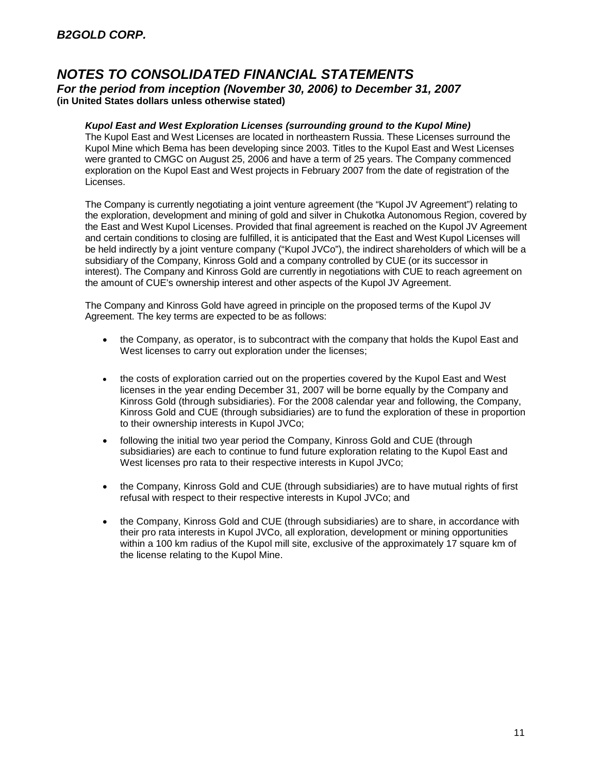#### *Kupol East and West Exploration Licenses (surrounding ground to the Kupol Mine)*

The Kupol East and West Licenses are located in northeastern Russia. These Licenses surround the Kupol Mine which Bema has been developing since 2003. Titles to the Kupol East and West Licenses were granted to CMGC on August 25, 2006 and have a term of 25 years. The Company commenced exploration on the Kupol East and West projects in February 2007 from the date of registration of the Licenses.

The Company is currently negotiating a joint venture agreement (the "Kupol JV Agreement") relating to the exploration, development and mining of gold and silver in Chukotka Autonomous Region, covered by the East and West Kupol Licenses. Provided that final agreement is reached on the Kupol JV Agreement and certain conditions to closing are fulfilled, it is anticipated that the East and West Kupol Licenses will be held indirectly by a joint venture company ("Kupol JVCo"), the indirect shareholders of which will be a subsidiary of the Company, Kinross Gold and a company controlled by CUE (or its successor in interest). The Company and Kinross Gold are currently in negotiations with CUE to reach agreement on the amount of CUE's ownership interest and other aspects of the Kupol JV Agreement.

The Company and Kinross Gold have agreed in principle on the proposed terms of the Kupol JV Agreement. The key terms are expected to be as follows:

- the Company, as operator, is to subcontract with the company that holds the Kupol East and West licenses to carry out exploration under the licenses;
- the costs of exploration carried out on the properties covered by the Kupol East and West licenses in the year ending December 31, 2007 will be borne equally by the Company and Kinross Gold (through subsidiaries). For the 2008 calendar year and following, the Company, Kinross Gold and CUE (through subsidiaries) are to fund the exploration of these in proportion to their ownership interests in Kupol JVCo;
- following the initial two year period the Company, Kinross Gold and CUE (through subsidiaries) are each to continue to fund future exploration relating to the Kupol East and West licenses pro rata to their respective interests in Kupol JVCo;
- the Company, Kinross Gold and CUE (through subsidiaries) are to have mutual rights of first refusal with respect to their respective interests in Kupol JVCo; and
- the Company, Kinross Gold and CUE (through subsidiaries) are to share, in accordance with their pro rata interests in Kupol JVCo, all exploration, development or mining opportunities within a 100 km radius of the Kupol mill site, exclusive of the approximately 17 square km of the license relating to the Kupol Mine.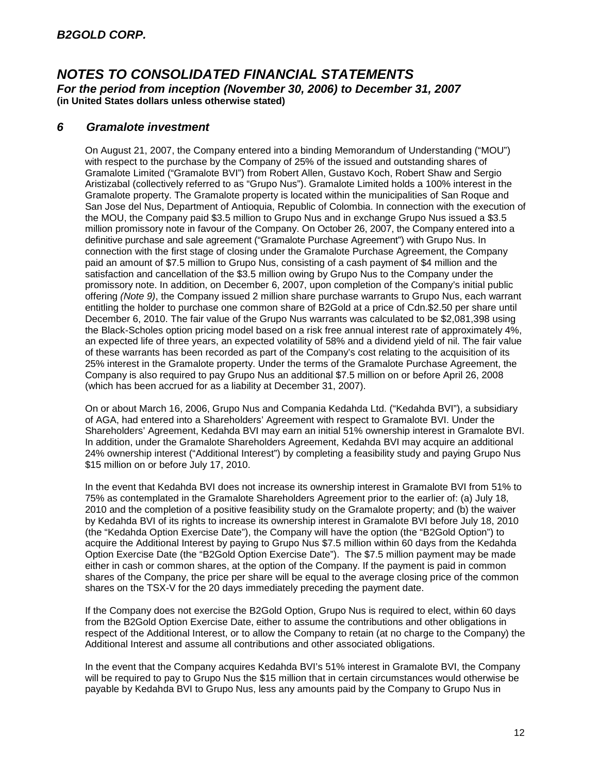## *6 Gramalote investment*

On August 21, 2007, the Company entered into a binding Memorandum of Understanding ("MOU") with respect to the purchase by the Company of 25% of the issued and outstanding shares of Gramalote Limited ("Gramalote BVI") from Robert Allen, Gustavo Koch, Robert Shaw and Sergio Aristizabal (collectively referred to as "Grupo Nus"). Gramalote Limited holds a 100% interest in the Gramalote property. The Gramalote property is located within the municipalities of San Roque and San Jose del Nus, Department of Antioquia, Republic of Colombia. In connection with the execution of the MOU, the Company paid \$3.5 million to Grupo Nus and in exchange Grupo Nus issued a \$3.5 million promissory note in favour of the Company. On October 26, 2007, the Company entered into a definitive purchase and sale agreement ("Gramalote Purchase Agreement") with Grupo Nus. In connection with the first stage of closing under the Gramalote Purchase Agreement, the Company paid an amount of \$7.5 million to Grupo Nus, consisting of a cash payment of \$4 million and the satisfaction and cancellation of the \$3.5 million owing by Grupo Nus to the Company under the promissory note. In addition, on December 6, 2007, upon completion of the Company's initial public offering *(Note 9)*, the Company issued 2 million share purchase warrants to Grupo Nus, each warrant entitling the holder to purchase one common share of B2Gold at a price of Cdn.\$2.50 per share until December 6, 2010. The fair value of the Grupo Nus warrants was calculated to be \$2,081,398 using the Black-Scholes option pricing model based on a risk free annual interest rate of approximately 4%, an expected life of three years, an expected volatility of 58% and a dividend yield of nil. The fair value of these warrants has been recorded as part of the Company's cost relating to the acquisition of its 25% interest in the Gramalote property. Under the terms of the Gramalote Purchase Agreement, the Company is also required to pay Grupo Nus an additional \$7.5 million on or before April 26, 2008 (which has been accrued for as a liability at December 31, 2007).

On or about March 16, 2006, Grupo Nus and Compania Kedahda Ltd. ("Kedahda BVI"), a subsidiary of AGA, had entered into a Shareholders' Agreement with respect to Gramalote BVI. Under the Shareholders' Agreement, Kedahda BVI may earn an initial 51% ownership interest in Gramalote BVI. In addition, under the Gramalote Shareholders Agreement, Kedahda BVI may acquire an additional 24% ownership interest ("Additional Interest") by completing a feasibility study and paying Grupo Nus \$15 million on or before July 17, 2010.

In the event that Kedahda BVI does not increase its ownership interest in Gramalote BVI from 51% to 75% as contemplated in the Gramalote Shareholders Agreement prior to the earlier of: (a) July 18, 2010 and the completion of a positive feasibility study on the Gramalote property; and (b) the waiver by Kedahda BVI of its rights to increase its ownership interest in Gramalote BVI before July 18, 2010 (the "Kedahda Option Exercise Date"), the Company will have the option (the "B2Gold Option") to acquire the Additional Interest by paying to Grupo Nus \$7.5 million within 60 days from the Kedahda Option Exercise Date (the "B2Gold Option Exercise Date"). The \$7.5 million payment may be made either in cash or common shares, at the option of the Company. If the payment is paid in common shares of the Company, the price per share will be equal to the average closing price of the common shares on the TSX-V for the 20 days immediately preceding the payment date.

If the Company does not exercise the B2Gold Option, Grupo Nus is required to elect, within 60 days from the B2Gold Option Exercise Date, either to assume the contributions and other obligations in respect of the Additional Interest, or to allow the Company to retain (at no charge to the Company) the Additional Interest and assume all contributions and other associated obligations.

In the event that the Company acquires Kedahda BVI's 51% interest in Gramalote BVI, the Company will be required to pay to Grupo Nus the \$15 million that in certain circumstances would otherwise be payable by Kedahda BVI to Grupo Nus, less any amounts paid by the Company to Grupo Nus in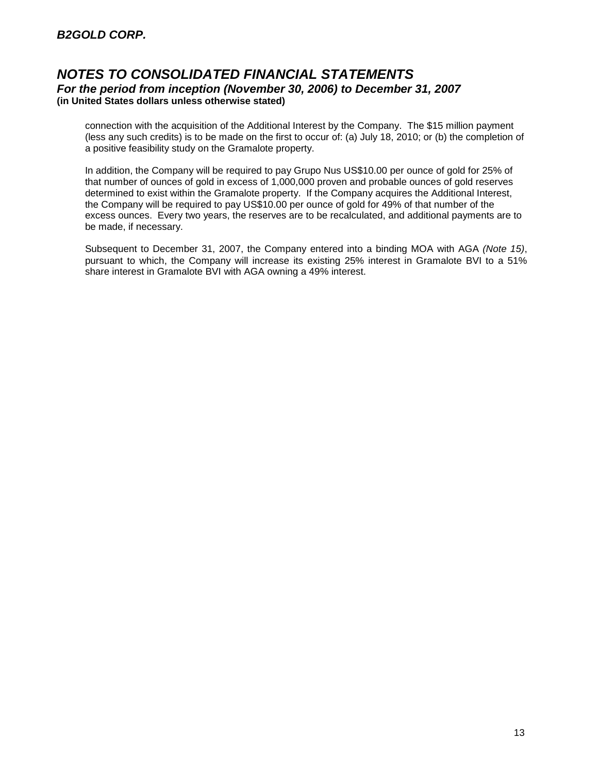connection with the acquisition of the Additional Interest by the Company. The \$15 million payment (less any such credits) is to be made on the first to occur of: (a) July 18, 2010; or (b) the completion of a positive feasibility study on the Gramalote property.

In addition, the Company will be required to pay Grupo Nus US\$10.00 per ounce of gold for 25% of that number of ounces of gold in excess of 1,000,000 proven and probable ounces of gold reserves determined to exist within the Gramalote property. If the Company acquires the Additional Interest, the Company will be required to pay US\$10.00 per ounce of gold for 49% of that number of the excess ounces. Every two years, the reserves are to be recalculated, and additional payments are to be made, if necessary.

Subsequent to December 31, 2007, the Company entered into a binding MOA with AGA *(Note 15)*, pursuant to which, the Company will increase its existing 25% interest in Gramalote BVI to a 51% share interest in Gramalote BVI with AGA owning a 49% interest.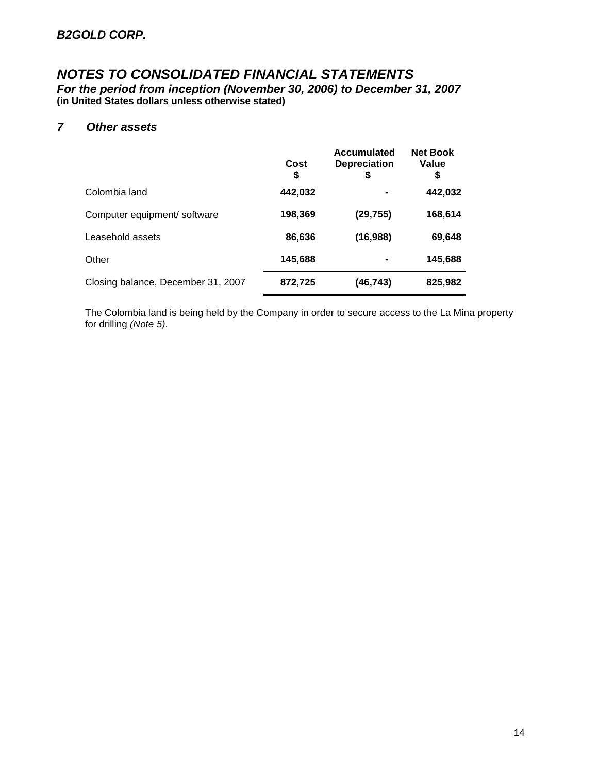*For the period from inception (November 30, 2006) to December 31, 2007* **(in United States dollars unless otherwise stated)**

## *7 Other assets*

|                                    | Cost<br>\$ | <b>Accumulated</b><br><b>Depreciation</b><br>\$ | <b>Net Book</b><br>Value<br>S |
|------------------------------------|------------|-------------------------------------------------|-------------------------------|
| Colombia land                      | 442,032    |                                                 | 442,032                       |
| Computer equipment/ software       | 198,369    | (29, 755)                                       | 168,614                       |
| Leasehold assets                   | 86,636     | (16,988)                                        | 69,648                        |
| Other                              | 145,688    |                                                 | 145,688                       |
| Closing balance, December 31, 2007 | 872,725    | (46,743)                                        | 825,982                       |

The Colombia land is being held by the Company in order to secure access to the La Mina property for drilling *(Note 5)*.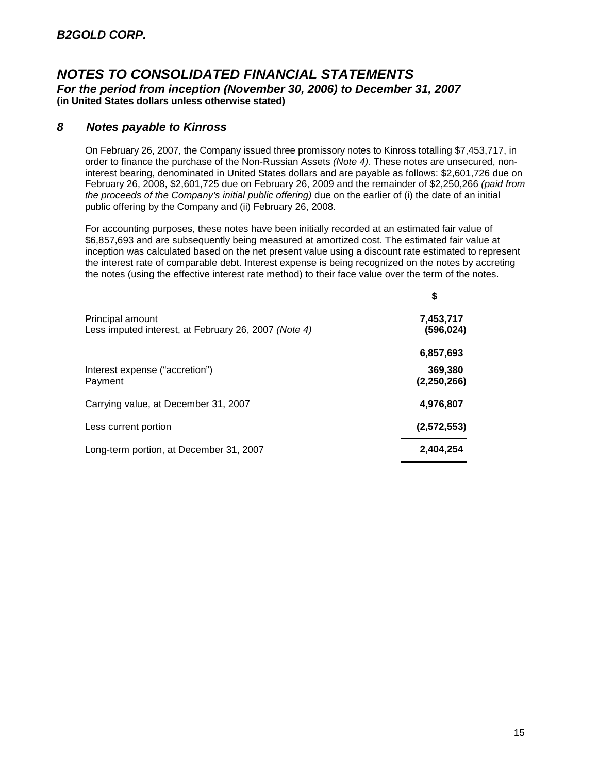## *8 Notes payable to Kinross*

On February 26, 2007, the Company issued three promissory notes to Kinross totalling \$7,453,717, in order to finance the purchase of the Non-Russian Assets *(Note 4)*. These notes are unsecured, noninterest bearing, denominated in United States dollars and are payable as follows: \$2,601,726 due on February 26, 2008, \$2,601,725 due on February 26, 2009 and the remainder of \$2,250,266 *(paid from the proceeds of the Company's initial public offering)* due on the earlier of (i) the date of an initial public offering by the Company and (ii) February 26, 2008.

For accounting purposes, these notes have been initially recorded at an estimated fair value of \$6,857,693 and are subsequently being measured at amortized cost. The estimated fair value at inception was calculated based on the net present value using a discount rate estimated to represent the interest rate of comparable debt. Interest expense is being recognized on the notes by accreting the notes (using the effective interest rate method) to their face value over the term of the notes.

|                                                                          | \$                     |
|--------------------------------------------------------------------------|------------------------|
| Principal amount<br>Less imputed interest, at February 26, 2007 (Note 4) | 7,453,717<br>(596,024) |
|                                                                          | 6,857,693              |
| Interest expense ("accretion")<br>Payment                                | 369,380<br>(2,250,266) |
| Carrying value, at December 31, 2007                                     | 4,976,807              |
| Less current portion                                                     | (2,572,553)            |
| Long-term portion, at December 31, 2007                                  | 2,404,254              |
|                                                                          |                        |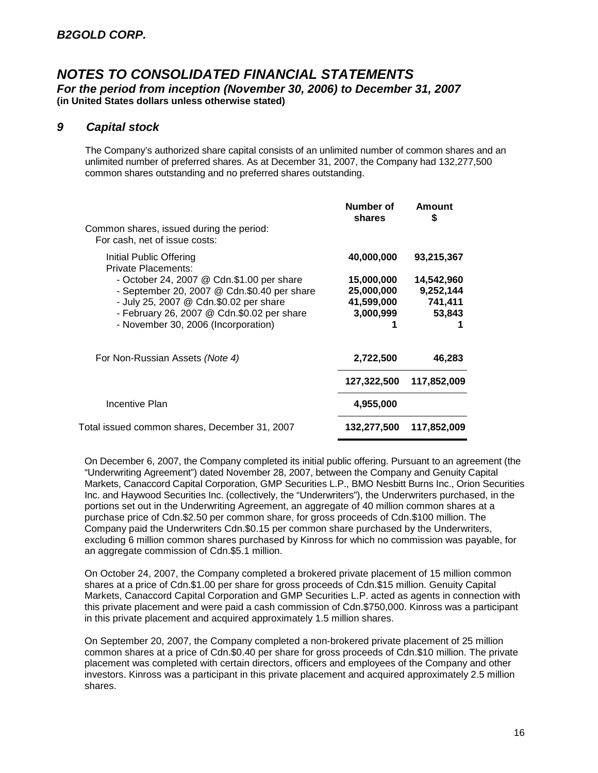#### *9 Capital stock*

The Company's authorized share capital consists of an unlimited number of common shares and an unlimited number of preferred shares. As at December 31, 2007, the Company had 132,277,500 common shares outstanding and no preferred shares outstanding.

|                                                                           | Number of<br>shares | Amount<br>S |
|---------------------------------------------------------------------------|---------------------|-------------|
| Common shares, issued during the period:<br>For cash, net of issue costs: |                     |             |
| Initial Public Offering<br>Private Placements:                            | 40,000,000          | 93,215,367  |
| - October 24, 2007 @ Cdn.\$1.00 per share                                 | 15,000,000          | 14,542,960  |
| - September 20, 2007 @ Cdn.\$0.40 per share                               | 25,000,000          | 9,252,144   |
| - July 25, 2007 @ Cdn.\$0.02 per share                                    | 41,599,000          | 741,411     |
| - February 26, 2007 @ Cdn.\$0.02 per share                                | 3,000,999           | 53,843      |
| - November 30, 2006 (Incorporation)                                       |                     |             |
| For Non-Russian Assets (Note 4)                                           | 2,722,500           | 46,283      |
|                                                                           | 127,322,500         | 117,852,009 |
| Incentive Plan                                                            | 4,955,000           |             |
| Total issued common shares, December 31, 2007                             | 132,277,500         | 117,852,009 |
|                                                                           |                     |             |

On December 6, 2007, the Company completed its initial public offering. Pursuant to an agreement (the "Underwriting Agreement") dated November 28, 2007, between the Company and Genuity Capital Markets, Canaccord Capital Corporation, GMP Securities L.P., BMO Nesbitt Burns Inc., Orion Securities Inc. and Haywood Securities Inc. (collectively, the "Underwriters"), the Underwriters purchased, in the portions set out in the Underwriting Agreement, an aggregate of 40 million common shares at a purchase price of Cdn.\$2.50 per common share, for gross proceeds of Cdn.\$100 million. The Company paid the Underwriters Cdn.\$0.15 per common share purchased by the Underwriters, excluding 6 million common shares purchased by Kinross for which no commission was payable, for an aggregate commission of Cdn.\$5.1 million.

On October 24, 2007, the Company completed a brokered private placement of 15 million common shares at a price of Cdn.\$1.00 per share for gross proceeds of Cdn.\$15 million. Genuity Capital Markets, Canaccord Capital Corporation and GMP Securities L.P. acted as agents in connection with this private placement and were paid a cash commission of Cdn.\$750,000. Kinross was a participant in this private placement and acquired approximately 1.5 million shares.

On September 20, 2007, the Company completed a non-brokered private placement of 25 million common shares at a price of Cdn.\$0.40 per share for gross proceeds of Cdn.\$10 million. The private placement was completed with certain directors, officers and employees of the Company and other investors. Kinross was a participant in this private placement and acquired approximately 2.5 million shares.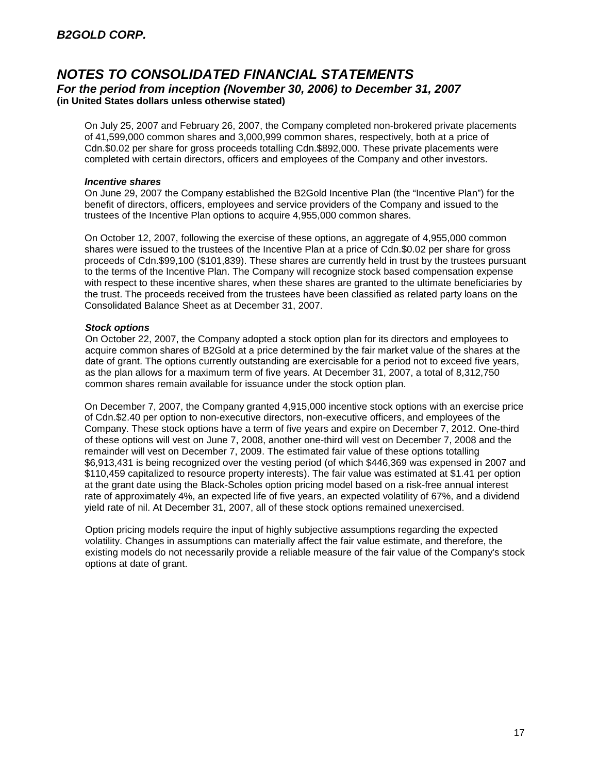On July 25, 2007 and February 26, 2007, the Company completed non-brokered private placements of 41,599,000 common shares and 3,000,999 common shares, respectively, both at a price of Cdn.\$0.02 per share for gross proceeds totalling Cdn.\$892,000. These private placements were completed with certain directors, officers and employees of the Company and other investors.

#### *Incentive shares*

On June 29, 2007 the Company established the B2Gold Incentive Plan (the "Incentive Plan") for the benefit of directors, officers, employees and service providers of the Company and issued to the trustees of the Incentive Plan options to acquire 4,955,000 common shares.

On October 12, 2007, following the exercise of these options, an aggregate of 4,955,000 common shares were issued to the trustees of the Incentive Plan at a price of Cdn.\$0.02 per share for gross proceeds of Cdn.\$99,100 (\$101,839). These shares are currently held in trust by the trustees pursuant to the terms of the Incentive Plan. The Company will recognize stock based compensation expense with respect to these incentive shares, when these shares are granted to the ultimate beneficiaries by the trust. The proceeds received from the trustees have been classified as related party loans on the Consolidated Balance Sheet as at December 31, 2007.

#### *Stock options*

On October 22, 2007, the Company adopted a stock option plan for its directors and employees to acquire common shares of B2Gold at a price determined by the fair market value of the shares at the date of grant. The options currently outstanding are exercisable for a period not to exceed five years, as the plan allows for a maximum term of five years. At December 31, 2007, a total of 8,312,750 common shares remain available for issuance under the stock option plan.

On December 7, 2007, the Company granted 4,915,000 incentive stock options with an exercise price of Cdn.\$2.40 per option to non-executive directors, non-executive officers, and employees of the Company. These stock options have a term of five years and expire on December 7, 2012. One-third of these options will vest on June 7, 2008, another one-third will vest on December 7, 2008 and the remainder will vest on December 7, 2009. The estimated fair value of these options totalling \$6,913,431 is being recognized over the vesting period (of which \$446,369 was expensed in 2007 and \$110,459 capitalized to resource property interests). The fair value was estimated at \$1.41 per option at the grant date using the Black-Scholes option pricing model based on a risk-free annual interest rate of approximately 4%, an expected life of five years, an expected volatility of 67%, and a dividend yield rate of nil. At December 31, 2007, all of these stock options remained unexercised.

Option pricing models require the input of highly subjective assumptions regarding the expected volatility. Changes in assumptions can materially affect the fair value estimate, and therefore, the existing models do not necessarily provide a reliable measure of the fair value of the Company's stock options at date of grant.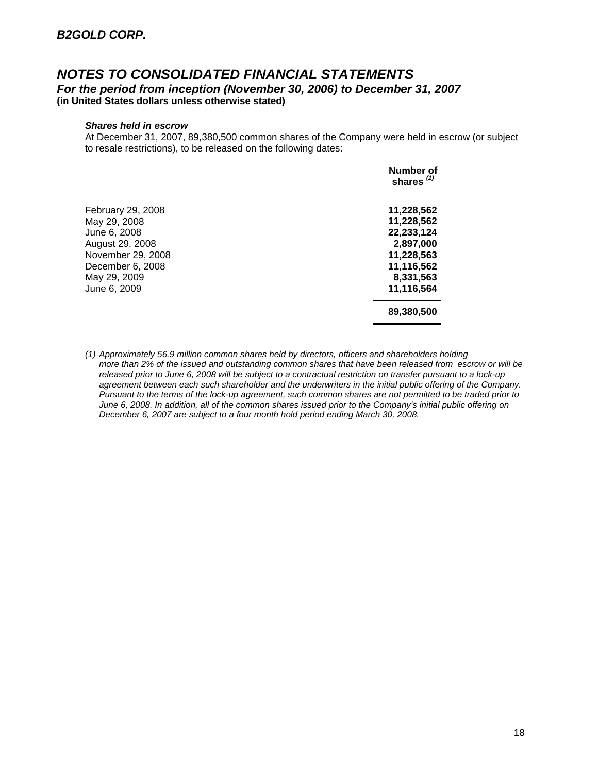#### *Shares held in escrow*

At December 31, 2007, 89,380,500 common shares of the Company were held in escrow (or subject to resale restrictions), to be released on the following dates:

|                   | Number of<br>shares $(1)$ |
|-------------------|---------------------------|
| February 29, 2008 | 11,228,562                |
| May 29, 2008      | 11,228,562                |
| June 6, 2008      | 22,233,124                |
| August 29, 2008   | 2,897,000                 |
| November 29, 2008 | 11,228,563                |
| December 6, 2008  | 11,116,562                |
| May 29, 2009      | 8,331,563                 |
| June 6, 2009      | 11,116,564                |
|                   | 89,380,500                |

*(1) Approximately 56.9 million common shares held by directors, officers and shareholders holding more than 2% of the issued and outstanding common shares that have been released from escrow or will be released prior to June 6, 2008 will be subject to a contractual restriction on transfer pursuant to a lock-up agreement between each such shareholder and the underwriters in the initial public offering of the Company. Pursuant to the terms of the lock-up agreement, such common shares are not permitted to be traded prior to June 6, 2008. In addition, all of the common shares issued prior to the Company's initial public offering on December 6, 2007 are subject to a four month hold period ending March 30, 2008.*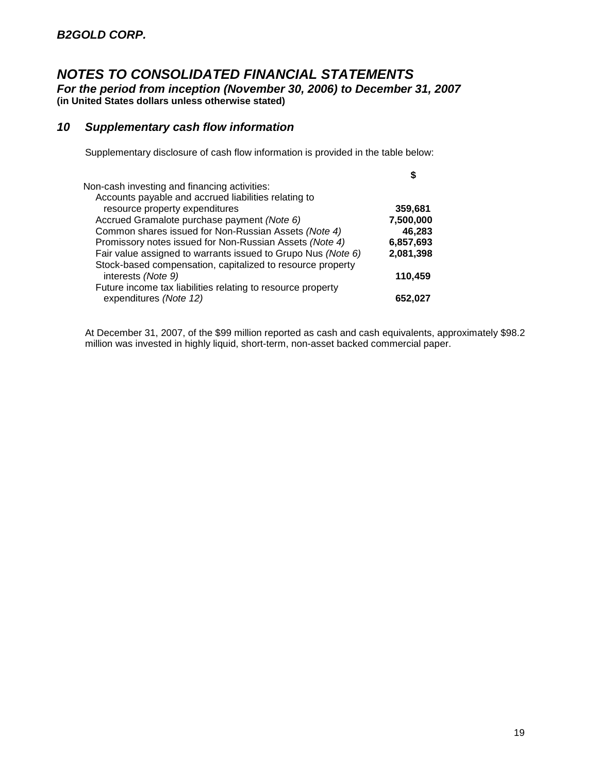*For the period from inception (November 30, 2006) to December 31, 2007* **(in United States dollars unless otherwise stated)**

## *10 Supplementary cash flow information*

Supplementary disclosure of cash flow information is provided in the table below:

| Non-cash investing and financing activities:                 |           |
|--------------------------------------------------------------|-----------|
| Accounts payable and accrued liabilities relating to         |           |
| resource property expenditures                               | 359,681   |
| Accrued Gramalote purchase payment (Note 6)                  | 7,500,000 |
| Common shares issued for Non-Russian Assets (Note 4)         | 46,283    |
| Promissory notes issued for Non-Russian Assets (Note 4)      | 6,857,693 |
| Fair value assigned to warrants issued to Grupo Nus (Note 6) | 2,081,398 |
| Stock-based compensation, capitalized to resource property   |           |
| interests (Note 9)                                           | 110,459   |
| Future income tax liabilities relating to resource property  |           |
| expenditures (Note 12)                                       | 652,027   |

At December 31, 2007, of the \$99 million reported as cash and cash equivalents, approximately \$98.2 million was invested in highly liquid, short-term, non-asset backed commercial paper.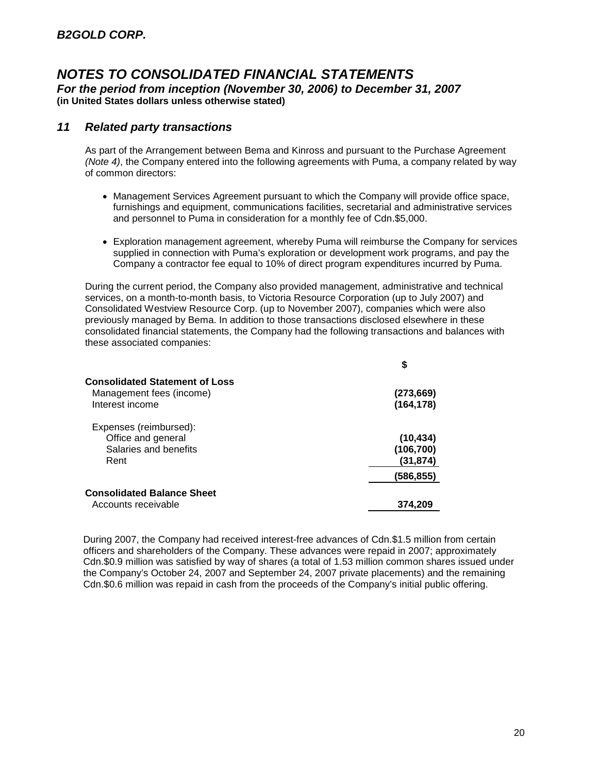## *NOTES TO CONSOLIDATED FINANCIAL STATEMENTS For the period from inception (November 30, 2006) to December 31, 2007*

**(in United States dollars unless otherwise stated)**

#### *11 Related party transactions*

As part of the Arrangement between Bema and Kinross and pursuant to the Purchase Agreement *(Note 4)*, the Company entered into the following agreements with Puma, a company related by way of common directors:

- Management Services Agreement pursuant to which the Company will provide office space, furnishings and equipment, communications facilities, secretarial and administrative services and personnel to Puma in consideration for a monthly fee of Cdn.\$5,000.
- Exploration management agreement, whereby Puma will reimburse the Company for services supplied in connection with Puma's exploration or development work programs, and pay the Company a contractor fee equal to 10% of direct program expenditures incurred by Puma.

During the current period, the Company also provided management, administrative and technical services, on a month-to-month basis, to Victoria Resource Corporation (up to July 2007) and Consolidated Westview Resource Corp. (up to November 2007), companies which were also previously managed by Bema. In addition to those transactions disclosed elsewhere in these consolidated financial statements, the Company had the following transactions and balances with these associated companies:

| \$                                   |
|--------------------------------------|
| (273,669)<br>(164, 178)              |
| (10, 434)<br>(106, 700)<br>(31, 874) |
| (586,855)                            |
| 374.209                              |
|                                      |

During 2007, the Company had received interest-free advances of Cdn.\$1.5 million from certain officers and shareholders of the Company. These advances were repaid in 2007; approximately Cdn.\$0.9 million was satisfied by way of shares (a total of 1.53 million common shares issued under the Company's October 24, 2007 and September 24, 2007 private placements) and the remaining Cdn.\$0.6 million was repaid in cash from the proceeds of the Company's initial public offering.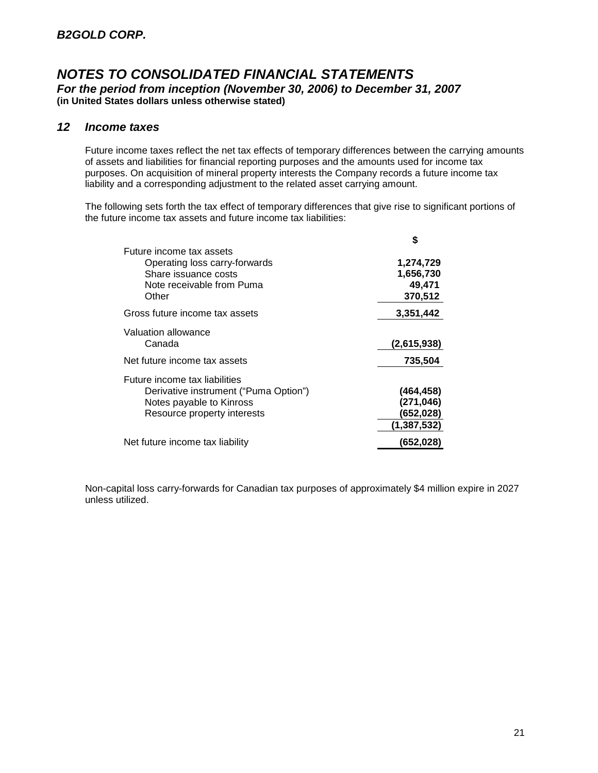#### *12 Income taxes*

Future income taxes reflect the net tax effects of temporary differences between the carrying amounts of assets and liabilities for financial reporting purposes and the amounts used for income tax purposes. On acquisition of mineral property interests the Company records a future income tax liability and a corresponding adjustment to the related asset carrying amount.

The following sets forth the tax effect of temporary differences that give rise to significant portions of the future income tax assets and future income tax liabilities:

|                                       | S           |
|---------------------------------------|-------------|
| Future income tax assets              |             |
| Operating loss carry-forwards         | 1,274,729   |
| Share issuance costs                  | 1,656,730   |
| Note receivable from Puma             | 49,471      |
| Other                                 | 370,512     |
| Gross future income tax assets        | 3,351,442   |
| Valuation allowance                   |             |
| Canada                                | (2,615,938) |
| Net future income tax assets          | 735,504     |
| Future income tax liabilities         |             |
| Derivative instrument ("Puma Option") | (464,458)   |
| Notes payable to Kinross              | (271, 046)  |
| Resource property interests           | (652,028)   |
|                                       | (1,387,532) |
| Net future income tax liability       | (652,028)   |

Non-capital loss carry-forwards for Canadian tax purposes of approximately \$4 million expire in 2027 unless utilized.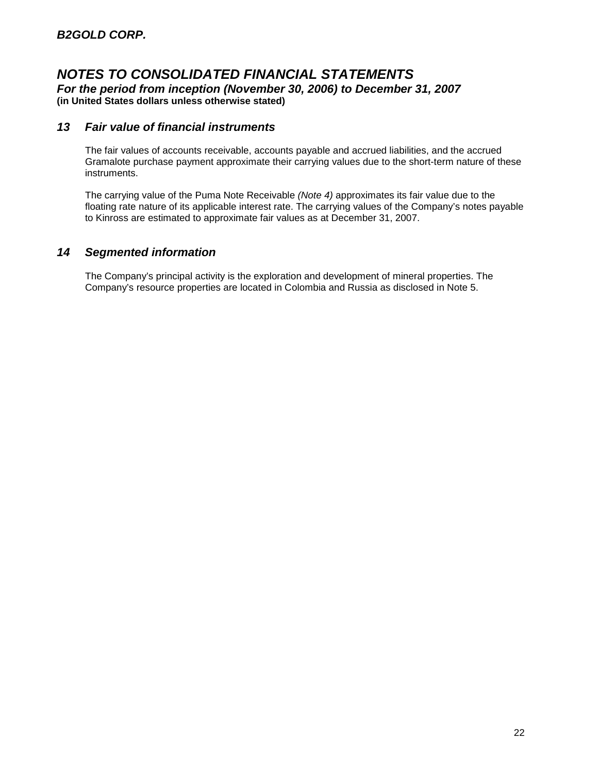*For the period from inception (November 30, 2006) to December 31, 2007* **(in United States dollars unless otherwise stated)**

#### *13 Fair value of financial instruments*

The fair values of accounts receivable, accounts payable and accrued liabilities, and the accrued Gramalote purchase payment approximate their carrying values due to the short-term nature of these instruments.

The carrying value of the Puma Note Receivable *(Note 4)* approximates its fair value due to the floating rate nature of its applicable interest rate. The carrying values of the Company's notes payable to Kinross are estimated to approximate fair values as at December 31, 2007.

## *14 Segmented information*

The Company's principal activity is the exploration and development of mineral properties. The Company's resource properties are located in Colombia and Russia as disclosed in Note 5.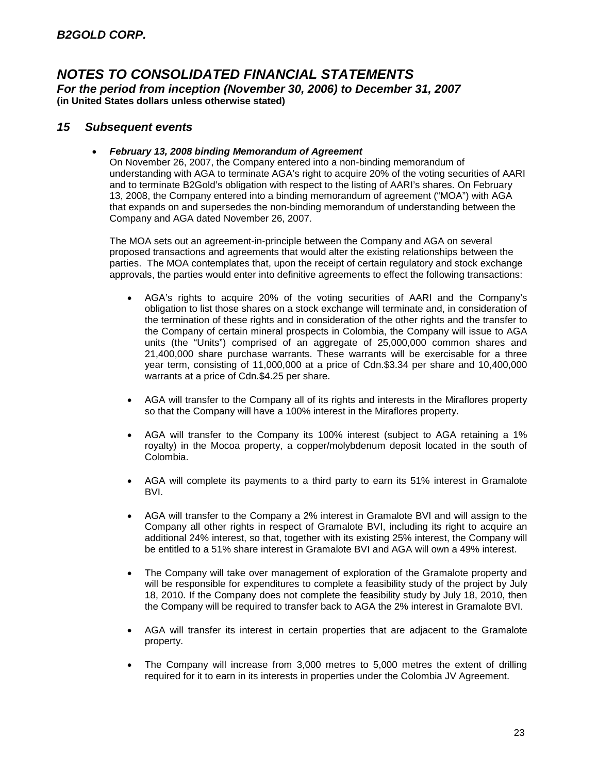#### *15 Subsequent events*

#### *February 13, 2008 binding Memorandum of Agreement*

On November 26, 2007, the Company entered into a non-binding memorandum of understanding with AGA to terminate AGA's right to acquire 20% of the voting securities of AARI and to terminate B2Gold's obligation with respect to the listing of AARI's shares. On February 13, 2008, the Company entered into a binding memorandum of agreement ("MOA") with AGA that expands on and supersedes the non-binding memorandum of understanding between the Company and AGA dated November 26, 2007.

The MOA sets out an agreement-in-principle between the Company and AGA on several proposed transactions and agreements that would alter the existing relationships between the parties. The MOA contemplates that, upon the receipt of certain regulatory and stock exchange approvals, the parties would enter into definitive agreements to effect the following transactions:

- AGA's rights to acquire 20% of the voting securities of AARI and the Company's obligation to list those shares on a stock exchange will terminate and, in consideration of the termination of these rights and in consideration of the other rights and the transfer to the Company of certain mineral prospects in Colombia, the Company will issue to AGA units (the "Units") comprised of an aggregate of 25,000,000 common shares and 21,400,000 share purchase warrants. These warrants will be exercisable for a three year term, consisting of 11,000,000 at a price of Cdn.\$3.34 per share and 10,400,000 warrants at a price of Cdn.\$4.25 per share.
- AGA will transfer to the Company all of its rights and interests in the Miraflores property so that the Company will have a 100% interest in the Miraflores property.
- AGA will transfer to the Company its 100% interest (subject to AGA retaining a 1% royalty) in the Mocoa property, a copper/molybdenum deposit located in the south of Colombia.
- AGA will complete its payments to a third party to earn its 51% interest in Gramalote BVI.
- AGA will transfer to the Company a 2% interest in Gramalote BVI and will assign to the Company all other rights in respect of Gramalote BVI, including its right to acquire an additional 24% interest, so that, together with its existing 25% interest, the Company will be entitled to a 51% share interest in Gramalote BVI and AGA will own a 49% interest.
- The Company will take over management of exploration of the Gramalote property and will be responsible for expenditures to complete a feasibility study of the project by July 18, 2010. If the Company does not complete the feasibility study by July 18, 2010, then the Company will be required to transfer back to AGA the 2% interest in Gramalote BVI.
- AGA will transfer its interest in certain properties that are adjacent to the Gramalote property.
- The Company will increase from 3,000 metres to 5,000 metres the extent of drilling required for it to earn in its interests in properties under the Colombia JV Agreement.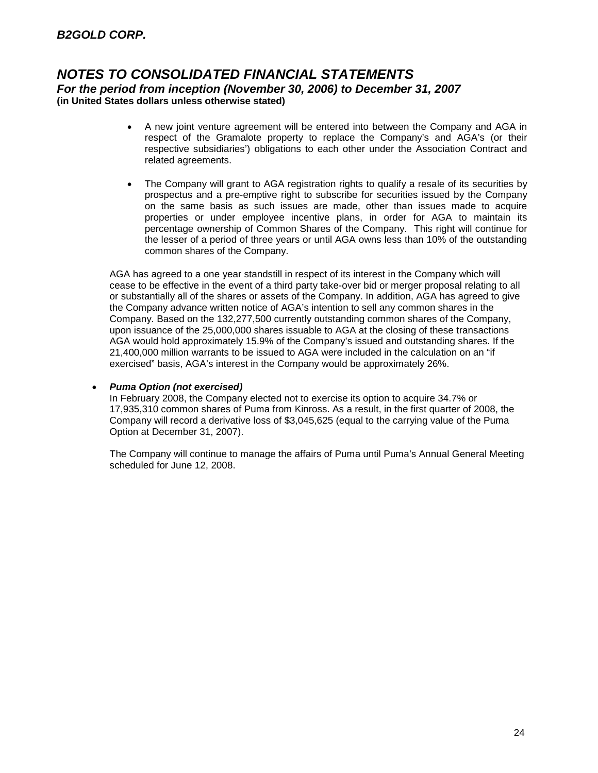- A new joint venture agreement will be entered into between the Company and AGA in respect of the Gramalote property to replace the Company's and AGA's (or their respective subsidiaries') obligations to each other under the Association Contract and related agreements.
- The Company will grant to AGA registration rights to qualify a resale of its securities by prospectus and a pre-emptive right to subscribe for securities issued by the Company on the same basis as such issues are made, other than issues made to acquire properties or under employee incentive plans, in order for AGA to maintain its percentage ownership of Common Shares of the Company. This right will continue for the lesser of a period of three years or until AGA owns less than 10% of the outstanding common shares of the Company.

AGA has agreed to a one year standstill in respect of its interest in the Company which will cease to be effective in the event of a third party take-over bid or merger proposal relating to all or substantially all of the shares or assets of the Company. In addition, AGA has agreed to give the Company advance written notice of AGA's intention to sell any common shares in the Company. Based on the 132,277,500 currently outstanding common shares of the Company, upon issuance of the 25,000,000 shares issuable to AGA at the closing of these transactions AGA would hold approximately 15.9% of the Company's issued and outstanding shares. If the 21,400,000 million warrants to be issued to AGA were included in the calculation on an "if exercised" basis, AGA's interest in the Company would be approximately 26%.

#### *Puma Option (not exercised)*

In February 2008, the Company elected not to exercise its option to acquire 34.7% or 17,935,310 common shares of Puma from Kinross. As a result, in the first quarter of 2008, the Company will record a derivative loss of \$3,045,625 (equal to the carrying value of the Puma Option at December 31, 2007).

The Company will continue to manage the affairs of Puma until Puma's Annual General Meeting scheduled for June 12, 2008.